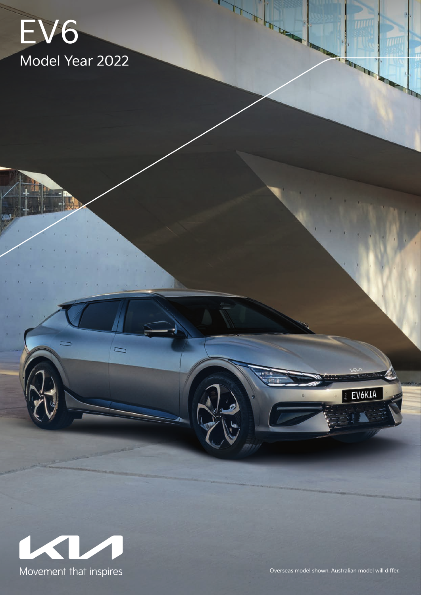## EV6 Model Year 2022



Overseas model shown. Australian model will differ.

EV6KIA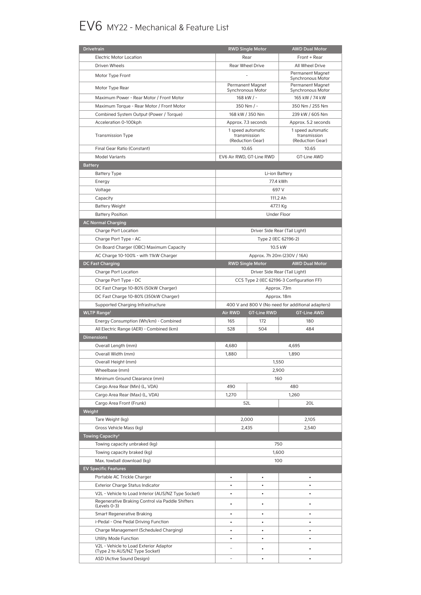## EV6 MY22 - Mechanical & Feature List

| <b>Drivetrain</b>                                                        |                                       | <b>RWD Single Motor</b>        | <b>AWD Dual Motor</b>                                 |  |
|--------------------------------------------------------------------------|---------------------------------------|--------------------------------|-------------------------------------------------------|--|
| <b>Electric Motor Location</b>                                           | Rear                                  |                                | Front + Rear                                          |  |
| Driven Wheels                                                            | Rear Wheel Drive                      |                                | All Wheel Drive                                       |  |
| Motor Type Front                                                         |                                       |                                | Permanent Magnet<br>Synchronous Motor                 |  |
| Motor Type Rear                                                          | Permanent Magnet<br>Synchronous Motor |                                | Permanent Magnet<br>Synchronous Motor                 |  |
| Maximum Power - Rear Motor / Front Motor                                 | 168 kW / -                            |                                | 165 kW / 74 kW                                        |  |
| Maximum Torque - Rear Motor / Front Motor                                | 350 Nm / -                            |                                | 350 Nm / 255 Nm                                       |  |
|                                                                          |                                       |                                |                                                       |  |
| Combined System Output (Power / Torque)                                  | 168 kW / 350 Nm                       |                                | 239 kW / 605 Nm                                       |  |
| Acceleration 0-100kph                                                    | Approx. 7.3 seconds                   |                                | Approx. 5.2 seconds                                   |  |
| <b>Transmission Type</b>                                                 | 1 speed automatic<br>(Reduction Gear) | transmission                   | 1 speed automatic<br>transmission<br>(Reduction Gear) |  |
| Final Gear Ratio (Constant)                                              | 10.65                                 |                                | 10.65                                                 |  |
| <b>Model Variants</b>                                                    | EV6 Air RWD, GT-Line RWD              |                                | <b>GT-Line AWD</b>                                    |  |
| <b>Battery</b>                                                           |                                       |                                |                                                       |  |
| <b>Battery Type</b>                                                      |                                       | Li-ion Battery                 |                                                       |  |
| Energy                                                                   |                                       | 77.4 kWh                       |                                                       |  |
| Voltage                                                                  |                                       | 697 V                          |                                                       |  |
| Capacity                                                                 |                                       | 111.2 Ah                       |                                                       |  |
|                                                                          |                                       |                                |                                                       |  |
| <b>Battery Weight</b>                                                    |                                       | 477.1 Kg<br><b>Under Floor</b> |                                                       |  |
| <b>Battery Position</b>                                                  |                                       |                                |                                                       |  |
| <b>AC Normal Charging</b>                                                |                                       |                                |                                                       |  |
| Charge Port Location                                                     |                                       | Driver Side Rear (Tail Light)  |                                                       |  |
| Charge Port Type - AC                                                    |                                       | Type 2 (IEC 62196-2)           |                                                       |  |
| On Board Charger (OBC) Maximum Capacity                                  |                                       | 10.5 kW                        |                                                       |  |
| AC Charge 10-100% - with 11kW Charger                                    |                                       | Approx. 7h 20m (230V / 16A)    |                                                       |  |
| <b>DC Fast Charging</b>                                                  |                                       | <b>RWD Single Motor</b>        | <b>AWD Dual Motor</b>                                 |  |
| Charge Port Location                                                     |                                       | Driver Side Rear (Tail Light)  |                                                       |  |
| Charge Port Type - DC                                                    |                                       |                                | CCS Type 2 (IEC 62196-3 Configuration FF)             |  |
| DC Fast Charge 10-80% (50kW Charger)                                     |                                       | Approx. 73m                    |                                                       |  |
| DC Fast Charge 10-80% (350kW Charger)                                    |                                       | Approx. 18m                    |                                                       |  |
|                                                                          |                                       |                                |                                                       |  |
|                                                                          |                                       |                                | 400 V and 800 V (No need for additional adapters)     |  |
| Supported Charging Infrastructure                                        |                                       |                                |                                                       |  |
| <b>WLTP Range<sup>1</sup></b>                                            | <b>Air RWD</b>                        | <b>GT-Line RWD</b>             | <b>GT-Line AWD</b>                                    |  |
| Energy Consumption (Wh/km) - Combined                                    | 165                                   | 172                            | 180                                                   |  |
| All Electric Range (AER) - Combined (km)                                 | 528                                   | 504                            | 484                                                   |  |
| <b>Dimensions</b>                                                        |                                       |                                |                                                       |  |
| Overall Length (mm)                                                      | 4,680                                 |                                | 4,695                                                 |  |
| Overall Width (mm)                                                       | 1,880                                 |                                | 1,890                                                 |  |
| Overall Height (mm)                                                      |                                       |                                | 1,550                                                 |  |
| Wheelbase (mm)                                                           |                                       |                                | 2,900                                                 |  |
| Minimum Ground Clearance (mm)                                            |                                       |                                | 160                                                   |  |
| Cargo Area Rear (Min) (L, VDA)                                           | 490                                   |                                | 480                                                   |  |
| Cargo Area Rear (Max) (L, VDA)                                           | 1,270                                 |                                | 1,260                                                 |  |
| Cargo Area Front (Frunk)                                                 | 52L                                   |                                | 20L                                                   |  |
| Weight                                                                   |                                       |                                |                                                       |  |
| Tare Weight (kg)                                                         | 2,000                                 |                                | 2,105                                                 |  |
| Gross Vehicle Mass (kg)                                                  | 2,435                                 |                                | 2,540                                                 |  |
| Towing Capacity <sup>2</sup>                                             |                                       |                                |                                                       |  |
| Towing capacity unbraked (kg)                                            |                                       | 750                            |                                                       |  |
|                                                                          |                                       |                                |                                                       |  |
| Towing capacity braked (kg)                                              |                                       |                                | 1,600<br>100                                          |  |
| Max. towball download (kg)                                               |                                       |                                |                                                       |  |
| <b>EV Specific Features</b>                                              |                                       |                                |                                                       |  |
| Portable AC Trickle Charger                                              | $\bullet$                             | $\bullet$                      | $\bullet$                                             |  |
| Exterior Charge Status Indicator                                         | $\bullet$                             | ٠                              | ٠                                                     |  |
| V2L - Vehicle to Load Interior (AUS/NZ Type Socket)                      | $\bullet$                             | $\bullet$                      | $\bullet$                                             |  |
| Regenerative Braking Control via Paddle Shifters<br>(Levels 0-3)         | $\bullet$                             | ٠                              | ٠                                                     |  |
| <b>Smart Regenerative Braking</b>                                        | ٠                                     | $\bullet$                      | $\bullet$                                             |  |
| i-Pedal - One Pedal Driving Function                                     | $\bullet$                             | $\bullet$                      | $\bullet$                                             |  |
| Charge Management (Scheduled Charging)                                   | $\bullet$                             | $\bullet$                      | $\bullet$                                             |  |
| Utility Mode Function                                                    | ٠                                     | $\bullet$                      | $\bullet$                                             |  |
| V2L - Vehicle to Load Exterior Adaptor<br>(Type 2 to AUS/NZ Type Socket) |                                       |                                |                                                       |  |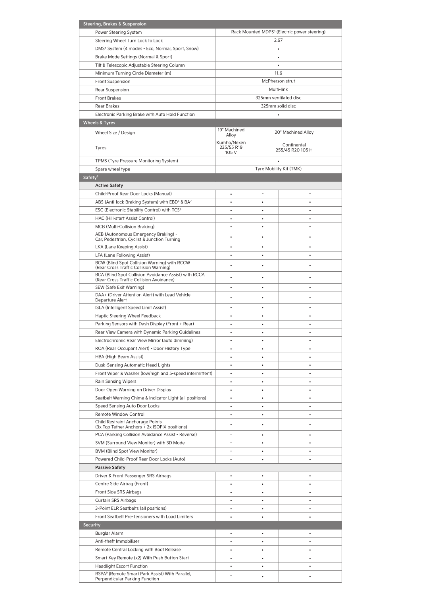| <b>Steering, Brakes &amp; Suspension</b>                                                          |                                    |                       |                                                          |
|---------------------------------------------------------------------------------------------------|------------------------------------|-----------------------|----------------------------------------------------------|
| Power Steering System                                                                             |                                    |                       | Rack Mounted MDPS <sup>3</sup> (Electric power steering) |
| Steering Wheel Turn Lock to Lock                                                                  |                                    |                       | 2.67                                                     |
| DMS <sup>4</sup> System (4 modes - Eco, Normal, Sport, Snow)                                      |                                    | ٠                     |                                                          |
| Brake Mode Settings (Normal & Sport)                                                              |                                    |                       |                                                          |
| Tilt & Telescopic Adjustable Steering Column                                                      |                                    |                       |                                                          |
| Minimum Turning Circle Diameter (m)                                                               |                                    |                       | 11.6                                                     |
|                                                                                                   |                                    |                       |                                                          |
| <b>Front Suspension</b>                                                                           |                                    |                       | McPherson strut                                          |
| Rear Suspension                                                                                   |                                    |                       | Multi-link                                               |
| Front Brakes                                                                                      |                                    | 325mm ventilated disc |                                                          |
| Rear Brakes                                                                                       |                                    |                       | 325mm solid disc                                         |
| Electronic Parking Brake with Auto Hold Function                                                  |                                    |                       |                                                          |
| <b>Wheels &amp; Tyres</b>                                                                         |                                    |                       |                                                          |
| Wheel Size / Design                                                                               | 19" Machined                       |                       | 20" Machined Alloy                                       |
|                                                                                                   | Alloy                              |                       |                                                          |
| Tyres                                                                                             | Kumho/Nexen<br>235/55 R19<br>105 V |                       | Continental<br>255/45 R20 105 H                          |
| TPMS (Tyre Pressure Monitoring System)                                                            |                                    | ٠                     |                                                          |
| Spare wheel type                                                                                  |                                    |                       | Tyre Mobility Kit (TMK)                                  |
| Safety <sup>5</sup>                                                                               |                                    |                       |                                                          |
|                                                                                                   |                                    |                       |                                                          |
| <b>Active Safety</b>                                                                              |                                    |                       |                                                          |
| Child-Proof Rear Door Locks (Manual)                                                              | $\bullet$                          | $\overline{a}$        |                                                          |
| ABS (Anti-lock Braking System) with EBD <sup>6</sup> & BA7                                        | $\bullet$                          | $\bullet$             | $\bullet$                                                |
| ESC (Electronic Stability Control) with TCS <sup>8</sup>                                          | $\bullet$                          | $\bullet$             | $\bullet$                                                |
| HAC (Hill-start Assist Control)                                                                   | ٠                                  | ٠                     | ٠                                                        |
| MCB (Multi-Collision Braking)                                                                     | $\bullet$                          | ٠                     | ٠                                                        |
| AEB (Autonomous Emergency Braking) -                                                              |                                    |                       |                                                          |
| Car, Pedestrian, Cyclist & Junction Turning                                                       | ٠                                  |                       |                                                          |
| LKA (Lane Keeping Assist)                                                                         | ٠                                  |                       | ٠                                                        |
| LFA (Lane Following Assist)                                                                       |                                    |                       |                                                          |
| BCW (Blind Spot Collision Warning) with RCCW                                                      | ٠                                  | ٠                     |                                                          |
| (Rear Cross Traffic Collision Warning)                                                            |                                    |                       |                                                          |
| BCA (Blind Spot Collision Avoidance Assist) with RCCA<br>(Rear Cross Traffic Collision Avoidance) |                                    |                       |                                                          |
| SEW (Safe Exit Warning)                                                                           | ٠                                  | ٠                     | ٠                                                        |
| DAA+ (Driver Attention Alert) with Lead Vehicle                                                   |                                    |                       |                                                          |
| Departure Alert                                                                                   |                                    |                       |                                                          |
| ISLA (Intelligent Speed Limit Assist)                                                             | ٠                                  | ٠                     | ٠                                                        |
| Haptic Steering Wheel Feedback                                                                    | ٠                                  | ٠                     | ٠                                                        |
| Parking Sensors with Dash Display (Front + Rear)                                                  | ۰                                  |                       | ٠                                                        |
| Rear View Camera with Dynamic Parking Guidelines                                                  | $\bullet$                          | ٠                     | ٠                                                        |
|                                                                                                   |                                    |                       |                                                          |
| Electrochromic Rear View Mirror (auto dimming)                                                    |                                    |                       |                                                          |
| ROA (Rear Occupant Alert) - Door History Type                                                     |                                    |                       |                                                          |
| HBA (High Beam Assist)                                                                            |                                    |                       |                                                          |
| Dusk-Sensing Automatic Head Lights                                                                | $\bullet$                          |                       |                                                          |
| Front Wiper & Washer (low/high and 5-speed intermittent)                                          | ٠                                  | ٠                     | ٠                                                        |
| Rain Sensing Wipers                                                                               | ٠                                  | ٠                     | ٠                                                        |
| Door Open Warning on Driver Display                                                               | $\bullet$                          |                       | $\bullet$                                                |
| Seatbelt Warning Chime & Indicator Light (all positions)                                          | $\bullet$                          | ٠                     | ٠                                                        |
| Speed Sensing Auto Door Locks                                                                     | ٠                                  | ٠                     | ٠                                                        |
| <b>Remote Window Control</b>                                                                      | $\bullet$                          | ٠                     | ٠                                                        |
| Child Restraint Anchorage Points                                                                  |                                    |                       |                                                          |
| (3x Top Tether Anchors + 2x ISOFIX positions)                                                     |                                    |                       |                                                          |
| PCA (Parking Collision Avoidance Assist - Reverse)                                                |                                    | ٠                     | ٠                                                        |
| SVM (Surround View Monitor) with 3D Mode                                                          | ۳                                  | ٠                     | ٠                                                        |
| BVM (Blind Spot View Monitor)                                                                     | ۰                                  | ٠                     |                                                          |
| Powered Child-Proof Rear Door Locks (Auto)                                                        |                                    | $\bullet$             |                                                          |
|                                                                                                   |                                    |                       |                                                          |
| <b>Passive Safety</b>                                                                             |                                    |                       |                                                          |
| Driver & Front Passenger SRS Airbags                                                              | $\bullet$                          | $\bullet$             | $\bullet$                                                |
| Centre Side Airbag (Front)                                                                        | $\bullet$                          | $\bullet$             |                                                          |
| Front Side SRS Airbags                                                                            | $\bullet$                          | ٠                     | $\bullet$                                                |
| Curtain SRS Airbags                                                                               | ٠                                  | ٠                     | ٠                                                        |
| 3-Point ELR Seatbelts (all positions)                                                             | $\bullet$                          | ٠                     | ٠                                                        |
| Front Seatbelt Pre-Tensioners with Load Limiters                                                  | $\bullet$                          | $\bullet$             | $\bullet$                                                |
| <b>Security</b>                                                                                   |                                    |                       |                                                          |
| <b>Burglar Alarm</b>                                                                              | ٠                                  |                       |                                                          |
| Anti-theft Immobiliser                                                                            | $\bullet$                          | ٠                     | $\bullet$                                                |
|                                                                                                   |                                    |                       |                                                          |
| Remote Central Locking with Boot Release                                                          | $\bullet$                          |                       | $\bullet$                                                |
| Smart Key Remote (x2) With Push Button Start                                                      | $\bullet$                          | ٠                     | ٠                                                        |
| <b>Headlight Escort Function</b>                                                                  | ٠                                  | ٠                     | ٠                                                        |
| RSPA <sup>9</sup> (Remote Smart Park Assist) With Parallel,<br>Perpendicular Parking Function     |                                    |                       |                                                          |
|                                                                                                   |                                    |                       |                                                          |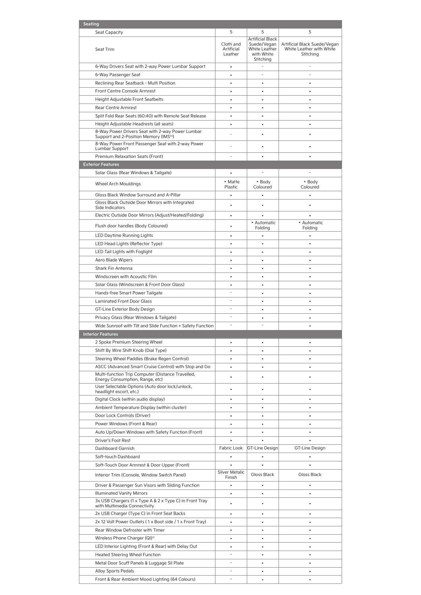| Seating                                                                                                |                                    |                                                                       |                                                                       |
|--------------------------------------------------------------------------------------------------------|------------------------------------|-----------------------------------------------------------------------|-----------------------------------------------------------------------|
| Seat Capacity                                                                                          | 5                                  | 5                                                                     | 5                                                                     |
| Seat Trim                                                                                              | Cloth and<br>Artificial<br>Leather | <b>Artificial Black</b><br>Suede/Vegan<br>White Leather<br>with White | Artificial Black Suede/Vegan<br>White Leather with White<br>Stitching |
|                                                                                                        |                                    | Stitching<br>L,                                                       |                                                                       |
| 6-Way Drivers Seat with 2-way Power Lumbar Support                                                     | $\bullet$                          |                                                                       |                                                                       |
| 6-Way Passenger Seat                                                                                   | ٠                                  | ä,                                                                    | ä,                                                                    |
| Reclining Rear Seatback - Multi Position                                                               | $\bullet$                          | $\bullet$                                                             | $\bullet$                                                             |
| Front Centre Console Armrest                                                                           | $\bullet$                          | $\bullet$                                                             | $\bullet$                                                             |
| Height Adjustable Front Seatbelts                                                                      | $\bullet$                          | $\bullet$                                                             | $\bullet$                                                             |
| <b>Rear Centre Armrest</b>                                                                             | ٠                                  | ٠                                                                     | ٠                                                                     |
| Split Fold Rear Seats (60:40) with Remote Seat Release                                                 | $\bullet$                          | ٠                                                                     | ٠                                                                     |
| Height Adjustable Headrests (all seats)                                                                | $\bullet$                          | $\bullet$                                                             |                                                                       |
| 8-Way Power Drivers Seat with 2-way Power Lumbar<br>Support and 2-Position Memory (IMS <sup>10</sup> ) |                                    | ٠                                                                     | ٠                                                                     |
| 8-Way Power Front Passenger Seat with 2-way Power<br>Lumbar Support                                    |                                    | ٠                                                                     |                                                                       |
| Premium Relaxation Seats (Front)                                                                       |                                    |                                                                       |                                                                       |
| <b>Exterior Features</b>                                                                               |                                    |                                                                       |                                                                       |
| Solar Glass (Rear Windows & Tailgate)                                                                  |                                    |                                                                       |                                                                       |
|                                                                                                        | • Matte                            | • Body                                                                | • Body                                                                |
| <b>Wheel Arch Mouldings</b>                                                                            | Plastic                            | Coloured                                                              | Coloured                                                              |
| Gloss Black Window Surround and A-Pillar                                                               | $\ddot{\phantom{0}}$               | $\bullet$                                                             | $\bullet$                                                             |
| Gloss Black Outside Door Mirrors with Integrated                                                       | ٠                                  | ٠                                                                     | ٠                                                                     |
| Side Indicators                                                                                        |                                    |                                                                       |                                                                       |
| Electric Outside Door Mirrors (Adjust/Heated/Folding)                                                  | $\bullet$                          |                                                                       |                                                                       |
| Flush door handles (Body Coloured)                                                                     | ٠                                  | • Automatic<br>Folding                                                | • Automatic<br>Folding                                                |
| LED Daytime Running Lights                                                                             | $\bullet$                          | $\bullet$                                                             | $\bullet$                                                             |
| LED Head Lights (Reflector Type)                                                                       | $\bullet$                          | $\bullet$                                                             | $\bullet$                                                             |
| LED Tail Lights with Foglight                                                                          | ٠                                  | ٠                                                                     | ٠                                                                     |
| Aero Blade Wipers                                                                                      | $\bullet$                          | ٠                                                                     | ٠                                                                     |
| Shark Fin Antenna                                                                                      | ٠                                  |                                                                       | $\bullet$                                                             |
| Windscreen with Acoustic Film                                                                          | ٠                                  | ٠                                                                     |                                                                       |
| Solar Glass (Windscreen & Front Door Glass)                                                            | ٠                                  | ٠                                                                     | ٠                                                                     |
| Hands-free Smart Power Tailgate                                                                        | ×,                                 | ٠                                                                     |                                                                       |
| <b>Laminated Front Door Glass</b>                                                                      |                                    |                                                                       |                                                                       |
| GT-Line Exterior Body Design                                                                           | $\overline{\phantom{a}}$           | ٠                                                                     | ٠                                                                     |
| Privacy Glass (Rear Windows & Tailgate)                                                                | $\overline{\phantom{a}}$           | ٠                                                                     | ٠                                                                     |
| Wide Sunroof with Tilt and Slide Function + Safety Function                                            | ٠                                  |                                                                       |                                                                       |
| <b>Interior Features</b>                                                                               |                                    |                                                                       |                                                                       |
| 2 Spoke Premium Steering Wheel                                                                         |                                    |                                                                       |                                                                       |
|                                                                                                        | ٠                                  |                                                                       | $\bullet$                                                             |
| Shift By Wire Shift Knob (Dial Type)                                                                   | ٠                                  | ٠                                                                     |                                                                       |
| Steering Wheel Paddles (Brake Regen Control)                                                           | $\bullet$                          | $\bullet$                                                             | $\bullet$                                                             |
| ASCC (Advanced Smart Cruise Control) with Stop and Go                                                  | $\bullet$                          | $\bullet$                                                             | $\bullet$                                                             |
| Multi-function Trip Computer (Distance Travelled,<br>Energy Consumption, Range, etc)                   | ٠                                  | ٠                                                                     |                                                                       |
| User Selectable Options (Auto door lock/unlock,<br>headlight escort, etc.)                             |                                    |                                                                       |                                                                       |
| Digital Clock (within audio display)                                                                   | ٠                                  | ٠                                                                     | ٠                                                                     |
| Ambient Temperature Display (within cluster)                                                           | $\bullet$                          | $\bullet$                                                             | $\bullet$                                                             |
| Door Lock Controls (Driver)                                                                            | $\bullet$                          |                                                                       |                                                                       |
| Power Windows (Front & Rear)                                                                           | $\bullet$                          |                                                                       | ٠                                                                     |
| Auto Up/Down Windows with Safety Function (Front)                                                      | $\bullet$                          |                                                                       |                                                                       |
| Driver's Foot Rest                                                                                     | $\bullet$                          |                                                                       |                                                                       |
| Dashboard Garnish                                                                                      | Fabric Look                        | <b>GT-Line Design</b>                                                 | GT-Line Design                                                        |
| Soft-touch Dashboard                                                                                   |                                    |                                                                       |                                                                       |
| Soft-Touch Door Armrest & Door Upper (Front)                                                           |                                    |                                                                       |                                                                       |
| Interior Trim (Console, Window Switch Panel)                                                           | <b>Silver Metalic</b><br>Finish    | Gloss Black                                                           | Gloss Black                                                           |
| Driver & Passenger Sun Visors with Sliding Function                                                    | $\bullet$                          | ٠                                                                     | $\bullet$                                                             |
| <b>Illuminated Vanity Mirrors</b>                                                                      | $\bullet$                          | $\bullet$                                                             | ٠                                                                     |
| 3x USB Chargers (1 x Type A & 2 x Type C) in Front Tray                                                |                                    |                                                                       |                                                                       |
| with Multimedia Connectivity<br>2x USB Charger (Type C) in Front Seat Backs                            | ٠                                  |                                                                       | ٠                                                                     |
| 2x 12 Volt Power Outlets (1x Boot side / 1x Front Tray)                                                | $\bullet$                          |                                                                       |                                                                       |
| Rear Window Defroster with Timer                                                                       | $\bullet$                          |                                                                       |                                                                       |
| Wireless Phone Charger (QI) <sup>11</sup>                                                              | $\bullet$                          |                                                                       | ٠                                                                     |
| LED Interior Lighting (Front & Rear) with Delay Out                                                    | $\bullet$                          | ٠                                                                     | ٠                                                                     |
|                                                                                                        | ٠                                  |                                                                       |                                                                       |
| <b>Heated Steering Wheel Function</b>                                                                  |                                    | ٠                                                                     | ٠                                                                     |
| Metal Door Scuff Panels & Luggage Sil Plate                                                            |                                    |                                                                       | $\bullet$                                                             |
| <b>Alloy Sports Pedals</b>                                                                             |                                    |                                                                       |                                                                       |
| Front & Rear Ambient Mood Lighting (64 Colours)                                                        |                                    |                                                                       |                                                                       |